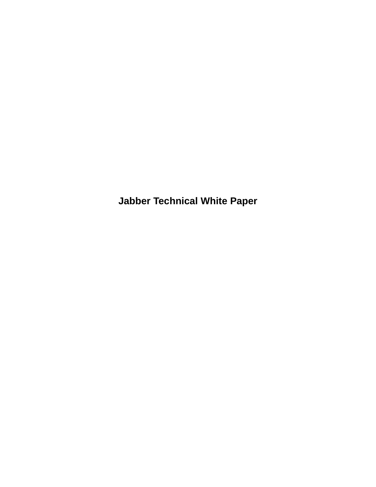**Jabber Technical White Paper**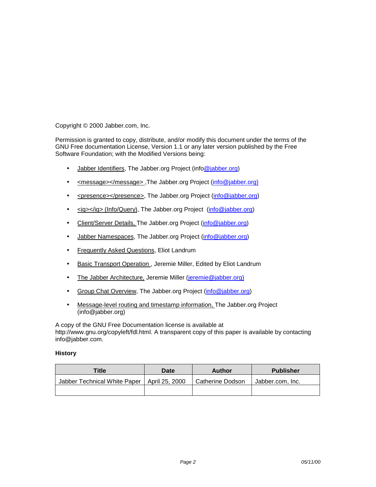Copyright © 2000 Jabber.com, Inc.

Permission is granted to copy, distribute, and/or modify this document under the terms of the GNU Free documentation License, Version 1.1 or any later version published by the Free Software Foundation; with the Modified Versions being:

- Jabber Identifiers, The Jabber.org Project (inf[o@jabber.org\)](mailto:team@jabber.org)
- <message></message>,The Jabber.org Project ([info@jabber.org\)](mailto:team@jabber.org))
- <presence></presence>, The Jabber.org Project ([info@jabber.org\)](mailto:team@jabber.org)
- <iq></iq> (Info/Query), The Jabber.org Project ([info@jabber.org\)](mailto:team@jabber.org)
- Client/Server Details, The Jabber.org Project ([info@jabber.org\)](mailto:team@jabber.org)
- Jabber Namespaces, The Jabber.org Project [\(info@jabber.org\)](mailto:team@jabber.org)
- Frequently Asked Questions, Eliot Landrum
- Basic Transport Operation, Jeremie Miller, Edited by Eliot Landrum
- The Jabber Architecture, Jeremie Miller [\(jeremie@jabber.org\)](mailto:jeremie@jabber.org))
- Group Chat Overview, The Jabber.org Project ([info@jabber.org\)](mailto:team@jabber.org)
- Message-level routing and timestamp information, The Jabber.org Project (info@jabber.org)

A copy of the GNU Free Documentation license is available at http://www.gnu.org/copyleft/fdl.html. A transparent copy of this paper is available by contacting info@jabber.com.

#### **History**

| <b>Title</b>                                  | Date | Author           | <b>Publisher</b> |
|-----------------------------------------------|------|------------------|------------------|
| Jabber Technical White Paper   April 25, 2000 |      | Catherine Dodson | Jabber.com, Inc. |
|                                               |      |                  |                  |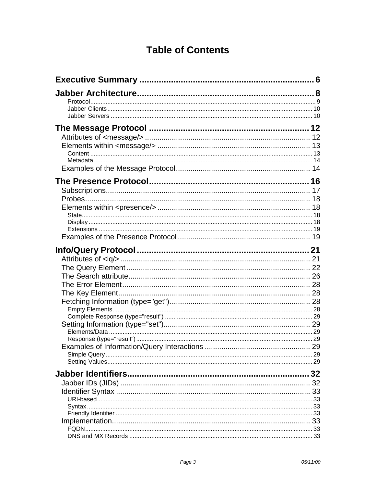# **Table of Contents**

|       | 32  |
|-------|-----|
|       |     |
|       | 33  |
|       |     |
|       |     |
|       | -33 |
| FQDN. |     |
|       |     |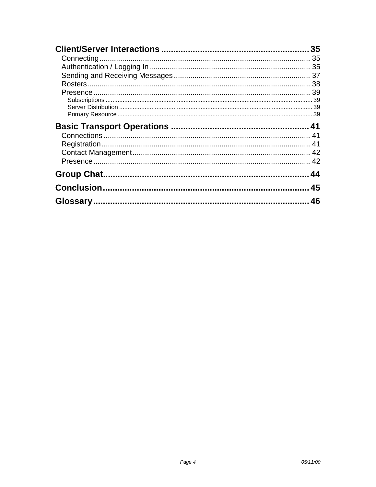| 35 |
|----|
| 35 |
|    |
|    |
|    |
|    |
|    |
|    |
|    |
|    |
|    |
|    |
|    |
|    |
|    |
| 45 |
| 46 |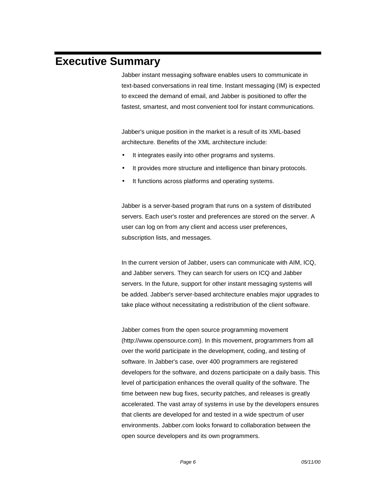# <span id="page-5-0"></span>**Executive Summary**

Jabber instant messaging software enables users to communicate in text-based conversations in real time. Instant messaging (IM) is expected to exceed the demand of email, and Jabber is positioned to offer the fastest, smartest, and most convenient tool for instant communications.

Jabber's unique position in the market is a result of its XML-based architecture. Benefits of the XML architecture include:

- It integrates easily into other programs and systems.
- It provides more structure and intelligence than binary protocols.
- It functions across platforms and operating systems.

Jabber is a server-based program that runs on a system of distributed servers. Each user's roster and preferences are stored on the server. A user can log on from any client and access user preferences, subscription lists, and messages.

In the current version of Jabber, users can communicate with AIM, ICQ, and Jabber servers. They can search for users on ICQ and Jabber servers. In the future, support for other instant messaging systems will be added. Jabber's server-based architecture enables major upgrades to take place without necessitating a redistribution of the client software.

Jabber comes from the open source programming movement (http://www.opensource.com). In this movement, programmers from all over the world participate in the development, coding, and testing of software. In Jabber's case, over 400 programmers are registered developers for the software, and dozens participate on a daily basis. This level of participation enhances the overall quality of the software. The time between new bug fixes, security patches, and releases is greatly accelerated. The vast array of systems in use by the developers ensures that clients are developed for and tested in a wide spectrum of user environments. Jabber.com looks forward to collaboration between the open source developers and its own programmers.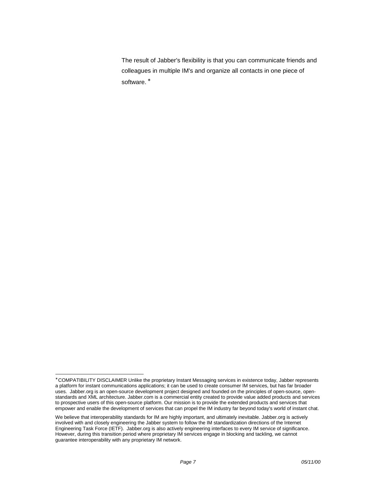The result of Jabber's flexibility is that you can communicate friends and colleagues in multiple IM's and organize all contacts in one piece of software.<sup>\*</sup>

l ∗ COMPATIBILITY DISCLAIMER Unlike the proprietary Instant Messaging services in existence today, Jabber represents a platform for instant communications applications; it can be used to create consumer IM services, but has far broader uses. Jabber.org is an open-source development project designed and founded on the principles of open-source, openstandards and XML architecture. Jabber.com is a commercial entity created to provide value added products and services to prospective users of this open-source platform. Our mission is to provide the extended products and services that empower and enable the development of services that can propel the IM industry far beyond today's world of instant chat.

We believe that interoperability standards for IM are highly important, and ultimately inevitable. Jabber.org is actively involved with and closely engineering the Jabber system to follow the IM standardization directions of the Internet Engineering Task Force (IETF). Jabber.org is also actively engineering interfaces to every IM service of significance. However, during this transition period where proprietary IM services engage in blocking and tackling, we cannot guarantee interoperability with any proprietary IM network.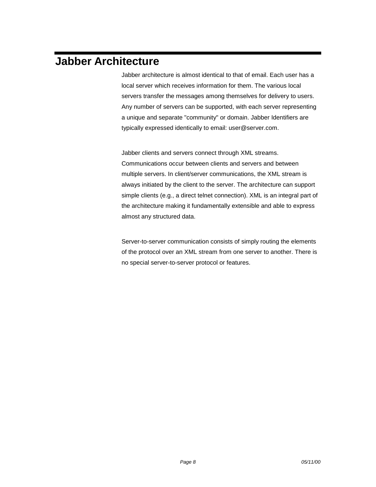# <span id="page-7-0"></span>**Jabber Architecture**

Jabber architecture is almost identical to that of email. Each user has a local server which receives information for them. The various local servers transfer the messages among themselves for delivery to users. Any number of servers can be supported, with each server representing a unique and separate "community" or domain. Jabber Identifiers are typically expressed identically to email: user@server.com.

Jabber clients and servers connect through XML streams. Communications occur between clients and servers and between multiple servers. In client/server communications, the XML stream is always initiated by the client to the server. The architecture can support simple clients (e.g., a direct telnet connection). XML is an integral part of the architecture making it fundamentally extensible and able to express almost any structured data.

Server-to-server communication consists of simply routing the elements of the protocol over an XML stream from one server to another. There is no special server-to-server protocol or features.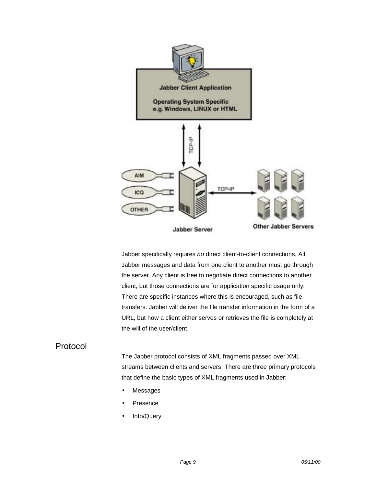<span id="page-8-0"></span>

Jabber specifically requires *no* direct client-to-client connections. All Jabber messages and data from one client to another must go through the server. Any client is free to negotiate direct connections to another client, but those connections are for application specific usage only. There are specific instances where this is encouraged, such as file transfers. Jabber will deliver the file transfer information in the form of a URL, but how a client either serves or retrieves the file is completely at the will of the user/client.

### Protocol

The Jabber protocol consists of XML fragments passed over XML streams between clients and servers. There are three primary protocols that define the basic types of XML fragments used in Jabber:

- **Messages**
- **Presence**
- Info/Query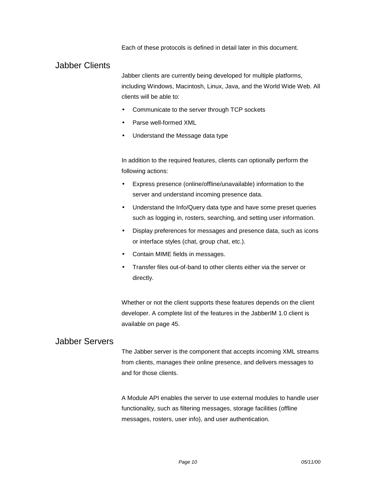Each of these protocols is defined in detail later in this document.

### <span id="page-9-0"></span>Jabber Clients

Jabber clients are currently being developed for multiple platforms, including Windows, Macintosh, Linux, Java, and the World Wide Web. All clients will be able to:

- Communicate to the server through TCP sockets
- Parse well-formed XML
- Understand the Message data type

In addition to the required features, clients can optionally perform the following actions:

- Express presence (online/offline/unavailable) information to the server and understand incoming presence data.
- Understand the Info/Query data type and have some preset queries such as logging in, rosters, searching, and setting user information.
- Display preferences for messages and presence data, such as icons or interface styles (chat, group chat, etc.).
- Contain MIME fields in messages.
- Transfer files out-of-band to other clients either via the server or directly.

Whether or not the client supports these features depends on the client developer. A complete list of the features in the JabberIM 1.0 client is available on page [45.](#page-44-0)

### Jabber Servers

The Jabber server is the component that accepts incoming XML streams from clients, manages their online presence, and delivers messages to and for those clients.

A Module API enables the server to use external modules to handle user functionality, such as filtering messages, storage facilities (offline messages, rosters, user info), and user authentication.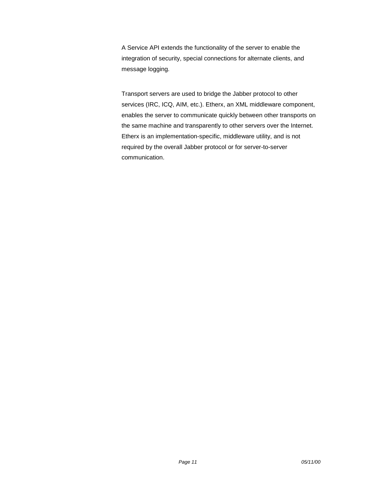A Service API extends the functionality of the server to enable the integration of security, special connections for alternate clients, and message logging.

Transport servers are used to bridge the Jabber protocol to other services (IRC, ICQ, AIM, etc.). Etherx, an XML middleware component, enables the server to communicate quickly between other transports on the same machine and transparently to other servers over the Internet. Etherx is an implementation-specific, middleware utility, and is not required by the overall Jabber protocol or for server-to-server communication.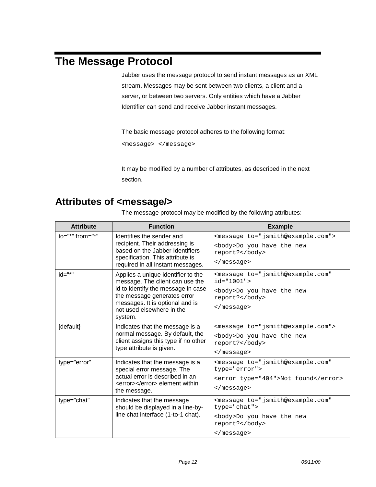# <span id="page-11-0"></span>**The Message Protocol**

Jabber uses the message protocol to send instant messages as an XML stream. Messages may be sent between two clients, a client and a server, or between two servers. Only entities which have a Jabber Identifier can send and receive Jabber instant messages.

The basic message protocol adheres to the following format:

<message> </message>

It may be modified by a number of attributes, as described in the next section.

## **Attributes of <message/>**

The message protocol may be modified by the following attributes:

| <b>Attribute</b>       | <b>Function</b>                                                                                                                                                                                                       | <b>Example</b>                                                                                                                                                 |
|------------------------|-----------------------------------------------------------------------------------------------------------------------------------------------------------------------------------------------------------------------|----------------------------------------------------------------------------------------------------------------------------------------------------------------|
| $to="="right" from=""$ | Identifies the sender and<br>recipient. Their addressing is<br>based on the Jabber Identifiers<br>specification. This attribute is<br>required in all instant messages.                                               | <message to="jsmith@example.com"><br/><body>Do you have the new<br/>report?</body><br/><math>&lt;</math>/message&gt;</message>                                 |
| $id="^{**}$            | Applies a unique identifier to the<br>message. The client can use the<br>id to identify the message in case<br>the message generates error<br>messages. It is optional and is<br>not used elsewhere in the<br>system. | <message <br="" to="jsmith@example.com"><math>id="1001"</math><br/><body>Do you have the new<br/>report?</body><br/><math>\langle</math> message&gt;</message> |
| [default}              | Indicates that the message is a<br>normal message. By default, the<br>client assigns this type if no other<br>type attribute is given.                                                                                | <message to="jsmith@example.com"><br/><body>Do you have the new<br/>report?</body><br/><math>\langle</math> message&gt;</message>                              |
| type="error"           | Indicates that the message is a<br>special error message. The<br>actual error is described in an<br><error></error> element within<br>the message.                                                                    | <message <br="" to="jsmith@example.com">type="error"&gt;<br/><error type="404">Not found</error><br/><math>\langle</math> message&gt;</message>                |
| type="chat"            | Indicates that the message<br>should be displayed in a line-by-<br>line chat interface (1-to-1 chat).                                                                                                                 | <message <br="" to="jsmith@example.com">type="chat"&gt;<br/><body>Do you have the new<br/>report?</body><br/><math>\langle</math> message&gt;</message>        |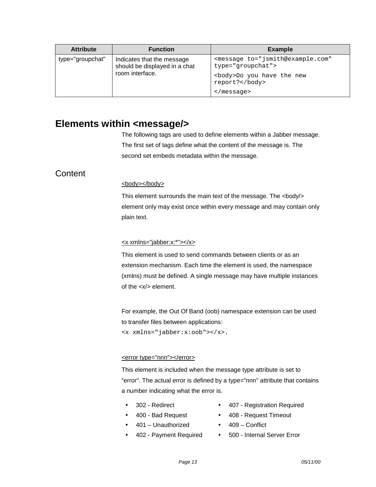<span id="page-12-0"></span>

| <b>Attribute</b> | <b>Function</b>                                                                | <b>Example</b>                                                                                                          |
|------------------|--------------------------------------------------------------------------------|-------------------------------------------------------------------------------------------------------------------------|
| type="groupchat" | Indicates that the message<br>should be displayed in a chat<br>room interface. | <message <br="" to="jsmith@example.com">type="groupchat"&gt;<br/><body>Do you have the new<br/>report?</body></message> |
|                  |                                                                                | $\langle$ message>                                                                                                      |

### **Elements within <message/>**

The following tags are used to define elements within a Jabber message. The first set of tags define what the content of the message is. The second set embeds metadata within the message.

## **Content**

#### <body></body>

This element surrounds the main text of the message. The <body/> element only may exist once within every message and may contain only plain text.

#### <x xmlns="jabber:x:\*"></x>

This element is used to send commands between clients or as an extension mechanism. Each time the element is used, the namespace (xmlns) must be defined. A single message may have multiple instances of the <x/> element.

For example, the Out Of Band (oob) namespace extension can be used to transfer files between applications: <x xmlns="jabber:x:oob"></x>.

#### <error type="nnn"></error>

This element is included when the message type attribute is set to "error". The actual error is defined by a type="nnn" attribute that contains a number indicating what the error is.

- - 302 Redirect 407 Registration Required
- 
- 401 Unauthorized 409 Conflict
- 400 Bad Request 408 Request Timeout
	-
	- 402 Payment Required 500 Internal Server Error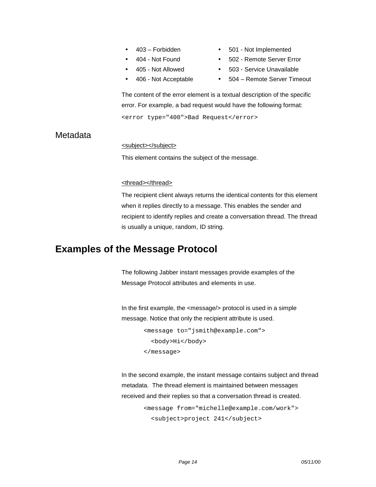- 
- 
- <span id="page-13-0"></span>• 403 – Forbidden • 501 - Not Implemented
	- 404 Not Found 502 Remote Server Error
- 405 Not Allowed 503 Service Unavailable
- 
- 
- 406 Not Acceptable 504 Remote Server Timeout

The content of the error element is a textual description of the specific error. For example, a bad request would have the following format: <error type="400">Bad Request</error>

### **Metadata**

#### <subject></subject>

This element contains the subject of the message.

#### <thread></thread>

The recipient client always returns the identical contents for this element when it replies directly to a message. This enables the sender and recipient to identify replies and create a conversation thread. The thread is usually a unique, random, ID string.

## **Examples of the Message Protocol**

The following Jabber instant messages provide examples of the Message Protocol attributes and elements in use.

In the first example, the <message/> protocol is used in a simple message. Notice that only the recipient attribute is used.

```
<message to="jsmith@example.com">
  <body>Hi</body>
</message>
```
In the second example, the instant message contains subject and thread metadata. The thread element is maintained between messages received and their replies so that a conversation thread is created.

<message from="michelle@example.com/work"> <subject>project 241</subject>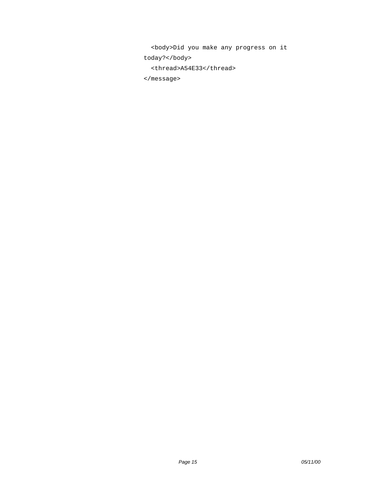<body>Did you make any progress on it today?</body> <thread>A54E33</thread> </message>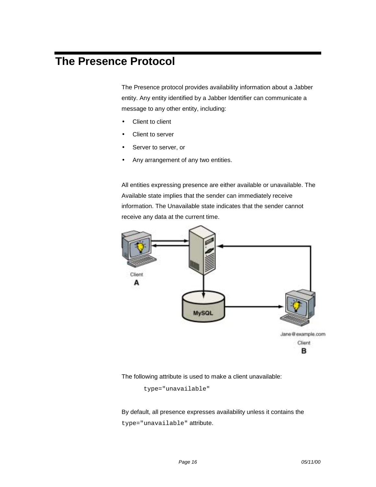# <span id="page-15-0"></span>**The Presence Protocol**

The Presence protocol provides availability information about a Jabber entity. Any entity identified by a Jabber Identifier can communicate a message to any other entity, including:

- Client to client
- Client to server
- Server to server, or
- Any arrangement of any two entities.

All entities expressing presence are either available or unavailable. The Available state implies that the sender can immediately receive information. The Unavailable state indicates that the sender cannot receive any data at the current time.



The following attribute is used to make a client unavailable:

type="unavailable"

By default, all presence expresses availability unless it contains the type="unavailable" attribute.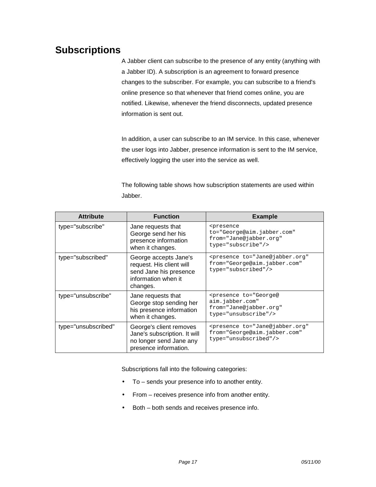## <span id="page-16-0"></span>**Subscriptions**

A Jabber client can subscribe to the presence of any entity (anything with a Jabber ID). A subscription is an agreement to forward presence changes to the subscriber. For example, you can subscribe to a friend's online presence so that whenever that friend comes online, you are notified. Likewise, whenever the friend disconnects, updated presence information is sent out.

In addition, a user can subscribe to an IM service. In this case, whenever the user logs into Jabber, presence information is sent to the IM service, effectively logging the user into the service as well.

The following table shows how subscription statements are used within Jabber.

| <b>Attribute</b>    | <b>Function</b>                                                                                                | <b>Example</b>                                                                                                      |
|---------------------|----------------------------------------------------------------------------------------------------------------|---------------------------------------------------------------------------------------------------------------------|
| type="subscribe"    | Jane requests that<br>George send her his<br>presence information<br>when it changes.                          | <presence<br>to="George@aim.jabber.com"<br/>from="Jane@jabber.org"<br/>type="subscribe"/&gt;</presence<br>          |
| type="subscribed"   | George accepts Jane's<br>request. His client will<br>send Jane his presence<br>information when it<br>changes. | <presence <br="" to="Jane@jabber.org">from="George@aim.jabber.com"<br/>type="subscribed"/&gt;</presence>            |
| type="unsubscribe"  | Jane requests that<br>George stop sending her<br>his presence information<br>when it changes.                  | <presence <br="" to="George@&lt;br&gt;aim.jabber.com">from="Jane@jabber.org"<br/>type="unsubscribe"/&gt;</presence> |
| type="unsubscribed" | George's client removes<br>Jane's subscription. It will<br>no longer send Jane any<br>presence information.    | <presence <br="" to="Jane@jabber.org">from="George@aim.jabber.com"<br/>type="unsubscribed"/&gt;</presence>          |

Subscriptions fall into the following categories:

- To sends your presence info to another entity.
- From receives presence info from another entity.
- Both both sends and receives presence info.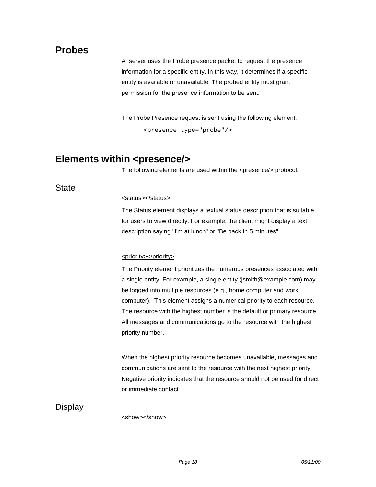## <span id="page-17-0"></span>**Probes**

A server uses the Probe presence packet to request the presence information for a specific entity. In this way, it determines if a specific entity is available or unavailable. The probed entity must grant permission for the presence information to be sent.

The Probe Presence request is sent using the following element:

<presence type="probe"/>

## **Elements within <presence/>**

The following elements are used within the <presence/> protocol.

**State** 

#### <status></status>

The Status element displays a textual status description that is suitable for users to view directly. For example, the client might display a text description saying "I'm at lunch" or "Be back in 5 minutes".

#### <priority></priority>

The Priority element prioritizes the numerous presences associated with a single entity. For example, a single entity (jsmith@example.com) may be logged into multiple resources (e.g., home computer and work computer). This element assigns a numerical priority to each resource. The resource with the highest number is the default or primary resource. All messages and communications go to the resource with the highest priority number.

When the highest priority resource becomes unavailable, messages and communications are sent to the resource with the next highest priority. Negative priority indicates that the resource should not be used for direct or immediate contact.

**Display** 

<show></show>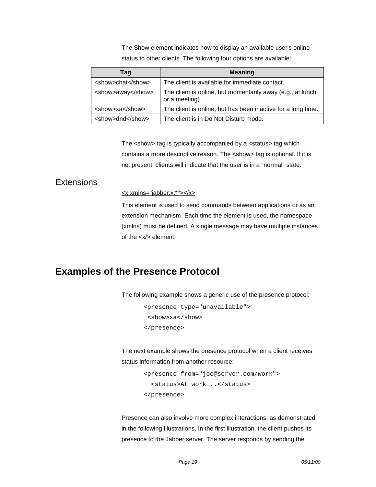The Show element indicates how to display an available user's online status to other clients. The following four options are available:

<span id="page-18-0"></span>

| Taq               | <b>Meaning</b>                                                               |
|-------------------|------------------------------------------------------------------------------|
| <show>chat</show> | The client is available for immediate contact.                               |
| <show>away</show> | The client is online, but momentarily away (e.g., at lunch<br>or a meeting). |
| <show>xa</show>   | The client is online, but has been inactive for a long time.                 |
| <show>dnd</show>  | The client is in Do Not Disturb mode.                                        |

The <show> tag is typically accompanied by a <status> tag which contains a more descriptive reason. The <show> tag is optional. If it is not present, clients will indicate that the user is in a "normal" state.

### **Extensions**

<x xmlns="jabber:x:\*"></x>

This element is used to send commands between applications or as an extension mechanism. Each time the element is used, the namespace (xmlns) must be defined. A single message may have multiple instances of the <x/> element.

## **Examples of the Presence Protocol**

The following example shows a generic use of the presence protocol:

```
<presence type="unavailable">
 <show>xa</show>
</presence>
```
The next example shows the presence protocol when a client receives status information from another resource:

```
<presence from="joe@server.com/work">
  <status>At work...</status>
</presence>
```
Presence can also involve more complex interactions, as demonstrated in the following illustrations. In the first illustration, the client pushes its presence to the Jabber server. The server responds by sending the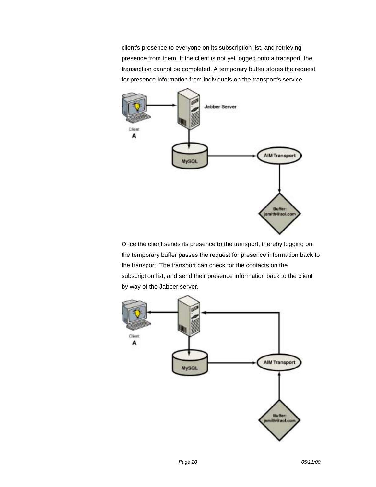client's presence to everyone on its subscription list, and retrieving presence from them. If the client is not yet logged onto a transport, the transaction cannot be completed. A temporary buffer stores the request for presence information from individuals on the transport's service.



Once the client sends its presence to the transport, thereby logging on, the temporary buffer passes the request for presence information back to the transport. The transport can check for the contacts on the subscription list, and send their presence information back to the client by way of the Jabber server.

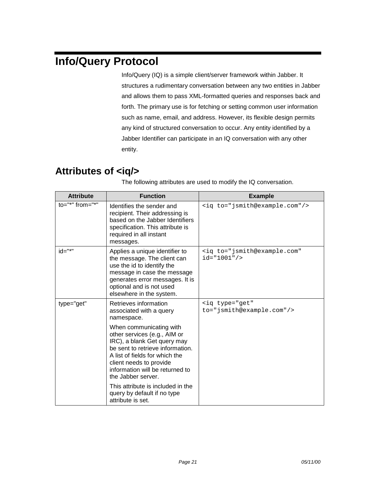# <span id="page-20-0"></span>**Info/Query Protocol**

Info/Query (IQ) is a simple client/server framework within Jabber. It structures a rudimentary conversation between any two entities in Jabber and allows them to pass XML-formatted queries and responses back and forth. The primary use is for fetching or setting common user information such as name, email, and address. However, its flexible design permits any kind of structured conversation to occur. Any entity identified by a Jabber Identifier can participate in an IQ conversation with any other entity.

## **Attributes of <iq/>**

| <b>Attribute</b>        | <b>Function</b>                                                                                                                                                                                                                                  | <b>Example</b>                                                      |
|-------------------------|--------------------------------------------------------------------------------------------------------------------------------------------------------------------------------------------------------------------------------------------------|---------------------------------------------------------------------|
| $to="="right" from="="$ | Identifies the sender and<br>recipient. Their addressing is<br>based on the Jabber Identifiers<br>specification. This attribute is<br>required in all instant<br>messages.                                                                       | <iq to="jsmith@example.com"></iq>                                   |
| id="*"                  | Applies a unique identifier to<br>the message. The client can<br>use the id to identify the<br>message in case the message<br>generates error messages. It is<br>optional and is not used<br>elsewhere in the system.                            | <iq <br="" to="jsmith@example.com"><math>id="1001"</math>/&gt;</iq> |
| type="get"              | Retrieves information<br>associated with a query<br>namespace.                                                                                                                                                                                   | <ig <br="" type="get">to="jsmith@example.com"/&gt;</ig>             |
|                         | When communicating with<br>other services (e.g., AIM or<br>IRC), a blank Get query may<br>be sent to retrieve information.<br>A list of fields for which the<br>client needs to provide<br>information will be returned to<br>the Jabber server. |                                                                     |
|                         | This attribute is included in the<br>query by default if no type<br>attribute is set.                                                                                                                                                            |                                                                     |

The following attributes are used to modify the IQ conversation.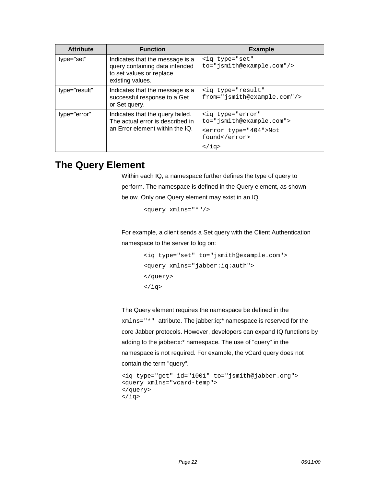<span id="page-21-0"></span>

| <b>Attribute</b> | <b>Function</b>                                                                                                   | <b>Example</b>                                                                                                                      |
|------------------|-------------------------------------------------------------------------------------------------------------------|-------------------------------------------------------------------------------------------------------------------------------------|
| type="set"       | Indicates that the message is a<br>query containing data intended<br>to set values or replace<br>existing values. | <iq <br="" type="set">to="jsmith@example.com"/&gt;</iq>                                                                             |
| type="result"    | Indicates that the message is a<br>successful response to a Get<br>or Set query.                                  | <ig <br="" type="result">from="jsmith@example.com"/&gt;</ig>                                                                        |
| type="error"     | Indicates that the query failed.<br>The actual error is described in<br>an Error element within the IQ.           | <iq <br="" type="error">to="jsmith@example.com"&gt;<br/><error type="404">Not<br/>found</error><br/><math>\langle</math>iq&gt;</iq> |

## **The Query Element**

Within each IQ, a namespace further defines the type of query to perform. The namespace is defined in the Query element, as shown below. Only one Query element may exist in an IQ.

<query xmlns="\*"/>

For example, a client sends a Set query with the Client Authentication namespace to the server to log on:

> <iq type="set" to="jsmith@example.com"> <query xmlns="jabber:iq:auth"> </query>  $\langle$ iq>

The Query element requires the namespace be defined in the xmlns="\*" attribute. The jabber:iq:\* namespace is reserved for the core Jabber protocols. However, developers can expand IQ functions by adding to the jabber:x:\* namespace. The use of "query" in the namespace is not required. For example, the vCard query does not contain the term "query".

```
<iq type="get" id="1001" to="jsmith@jabber.org">
<query xmlns="vcard-temp">
</query>
\langleiq>
```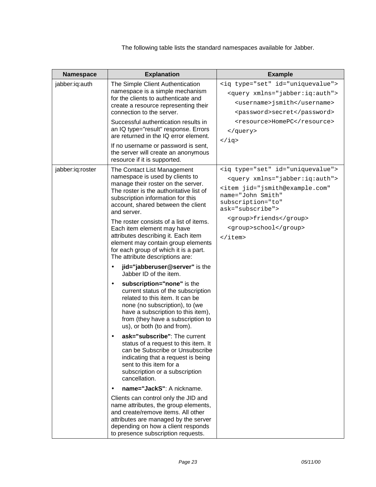The following table lists the standard namespaces available for Jabber.

| Namespace        | <b>Explanation</b>                                                                                                                                                                                                                                                                                                                                                                                                                                                                                                                                                                         | <b>Example</b>                                                                                                                                                                                                                                                                                           |
|------------------|--------------------------------------------------------------------------------------------------------------------------------------------------------------------------------------------------------------------------------------------------------------------------------------------------------------------------------------------------------------------------------------------------------------------------------------------------------------------------------------------------------------------------------------------------------------------------------------------|----------------------------------------------------------------------------------------------------------------------------------------------------------------------------------------------------------------------------------------------------------------------------------------------------------|
| jabber:iq:auth   | The Simple Client Authentication<br>namespace is a simple mechanism<br>for the clients to authenticate and<br>create a resource representing their<br>connection to the server.<br>Successful authentication results in<br>an IQ type="result" response. Errors<br>are returned in the IQ error element.<br>If no username or password is sent,<br>the server will create an anonymous<br>resource if it is supported.                                                                                                                                                                     | <iq id="uniquevalue" type="set"><br/><query xmlns="jabber:iq:auth"><br/><username>jsmith</username><br/><password>secret</password><br/><resource>HomePC</resource><br/></query><br/><math>\langle iq \rangle</math></iq>                                                                                |
| jabber:iq:roster | The Contact List Management<br>namespace is used by clients to<br>manage their roster on the server.<br>The roster is the authoritative list of<br>subscription information for this<br>account, shared between the client<br>and server.<br>The roster consists of a list of items.<br>Each item element may have<br>attributes describing it. Each item<br>element may contain group elements<br>for each group of which it is a part.<br>The attribute descriptions are:<br>jid="jabberuser@server" is the<br>$\bullet$                                                                 | <iq id="uniquevalue" type="set"><br/><query xmlns="jabber:iq:auth"><br/><item <br="" jid="jsmith@example.com">name="John Smith"<br/>subscription="to"<br/><math>ask="subset"subscripte"</math><br/><group>friends</group><br/><group>school</group><br/><math>\langle</math>item&gt;</item></query></iq> |
|                  | Jabber ID of the item.<br>subscription="none" is the<br>$\bullet$<br>current status of the subscription<br>related to this item. It can be<br>none (no subscription), to (we<br>have a subscription to this item),<br>from (they have a subscription to<br>us), or both (to and from).<br>ask="subscribe": The current<br>status of a request to this item. It<br>can be Subscribe or Unsubscribe<br>indicating that a request is being<br>sent to this item for a<br>subscription or a subscription<br>cancellation.<br>name="JackS": A nickname.<br>Clients can control only the JID and |                                                                                                                                                                                                                                                                                                          |
|                  | name attributes, the group elements,<br>and create/remove items. All other<br>attributes are managed by the server<br>depending on how a client responds<br>to presence subscription requests.                                                                                                                                                                                                                                                                                                                                                                                             |                                                                                                                                                                                                                                                                                                          |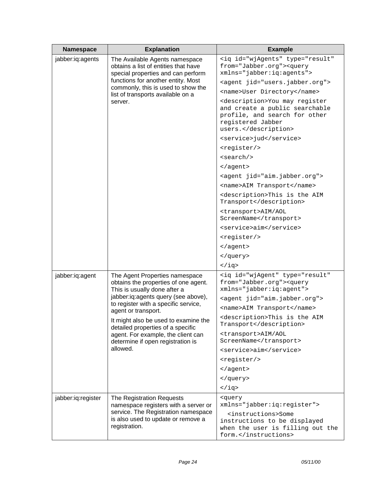| Namespace          | <b>Explanation</b>                                                                                                                                                                       | <b>Example</b>                                                                                                                                    |
|--------------------|------------------------------------------------------------------------------------------------------------------------------------------------------------------------------------------|---------------------------------------------------------------------------------------------------------------------------------------------------|
| jabber:iq:agents   | The Available Agents namespace<br>obtains a list of entities that have<br>special properties and can perform<br>functions for another entity. Most<br>commonly, this is used to show the | <iq <br="" id="wjAgents" type="result">from="Jabber.org"&gt;<query<br>xmlns="jabber:iq:agents"&gt;</query<br></iq>                                |
|                    |                                                                                                                                                                                          | <agent jid="users.jabber.org"></agent>                                                                                                            |
|                    |                                                                                                                                                                                          | <name>User Directory</name>                                                                                                                       |
|                    | list of transports available on a<br>server.                                                                                                                                             | <description>You may register<br/>and create a public searchable<br/>profile, and search for other<br/>registered Jabber<br/>users.</description> |
|                    |                                                                                                                                                                                          | <service>jud</service>                                                                                                                            |
|                    |                                                                                                                                                                                          | <register></register>                                                                                                                             |
|                    |                                                                                                                                                                                          | <search></search>                                                                                                                                 |
|                    |                                                                                                                                                                                          | $\langle$ aqent>                                                                                                                                  |
|                    |                                                                                                                                                                                          | <agent jid="aim.jabber.org"></agent>                                                                                                              |
|                    |                                                                                                                                                                                          | <name>AIM Transport</name>                                                                                                                        |
|                    |                                                                                                                                                                                          | <description>This is the AIM<br/>Transport</description>                                                                                          |
|                    |                                                                                                                                                                                          | <transport>AIM/AOL<br/>ScreenName</transport>                                                                                                     |
|                    |                                                                                                                                                                                          | <service>aim</service>                                                                                                                            |
|                    |                                                                                                                                                                                          | <register></register>                                                                                                                             |
|                    |                                                                                                                                                                                          |                                                                                                                                                   |
|                    |                                                                                                                                                                                          |                                                                                                                                                   |
|                    |                                                                                                                                                                                          | $\langle iq \rangle$                                                                                                                              |
| jabber:iq:agent    | The Agent Properties namespace<br>obtains the properties of one agent.<br>This is usually done after a                                                                                   | <iq <br="" id="wjAgent" type="result">from="Jabber.org"&gt;<query<br>xmlns="jabber:iq:agent"&gt;</query<br></iq>                                  |
|                    | jabber:iq:agents query (see above),<br>to register with a specific service,<br>agent or transport.                                                                                       | <agent jid="aim.jabber.org"></agent>                                                                                                              |
|                    |                                                                                                                                                                                          | <name>AIM Transport</name>                                                                                                                        |
|                    | It might also be used to examine the<br>detailed properties of a specific                                                                                                                | <description>This is the AIM<br/>Transport</description>                                                                                          |
|                    | agent. For example, the client can<br>determine if open registration is                                                                                                                  | <transport>AIM/AOL<br/>ScreenName</transport>                                                                                                     |
|                    | allowed.                                                                                                                                                                                 | <service>aim</service>                                                                                                                            |
|                    |                                                                                                                                                                                          | <register></register>                                                                                                                             |
|                    |                                                                                                                                                                                          |                                                                                                                                                   |
|                    |                                                                                                                                                                                          |                                                                                                                                                   |
|                    |                                                                                                                                                                                          | $\langle iq \rangle$                                                                                                                              |
| jabber:iq:register | The Registration Requests<br>namespace registers with a server or<br>service. The Registration namespace<br>is also used to update or remove a<br>registration.                          | <query<br>xmlns="jabber:iq:register"&gt;</query<br>                                                                                               |
|                    |                                                                                                                                                                                          | <instructions>Some<br/>instructions to be displayed<br/>when the user is filling out the<br/>form.</instructions>                                 |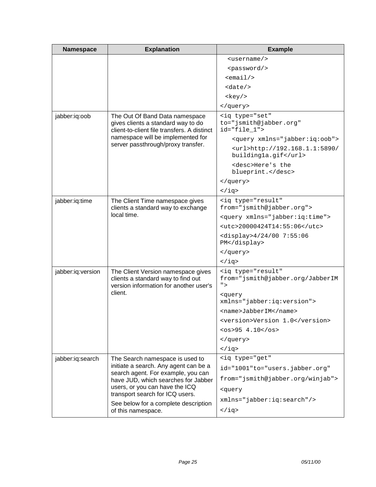| Namespace                                                            | <b>Explanation</b>                                                                                                  | <b>Example</b>                                                        |
|----------------------------------------------------------------------|---------------------------------------------------------------------------------------------------------------------|-----------------------------------------------------------------------|
|                                                                      |                                                                                                                     | $username$                                                            |
|                                                                      |                                                                                                                     | <password></password>                                                 |
|                                                                      |                                                                                                                     | $<$ email/>                                                           |
|                                                                      |                                                                                                                     | <date></date>                                                         |
|                                                                      |                                                                                                                     | <key></key>                                                           |
|                                                                      |                                                                                                                     |                                                                       |
| jabber:iq:oob                                                        | The Out Of Band Data namespace<br>gives clients a standard way to do<br>client-to-client file transfers. A distinct | <iq <br="" type="set">to="jsmith@jabber.org"<br/>id="file_1"&gt;</iq> |
|                                                                      | namespace will be implemented for                                                                                   | <query xmlns="jabber:iq:oob"></query>                                 |
|                                                                      | server passthrough/proxy transfer.                                                                                  | <url>http://192.168.1.1:5890/<br/>buildingla.gif</url>                |
|                                                                      |                                                                                                                     | <desc>Here's the<br/>blueprint.</desc>                                |
|                                                                      |                                                                                                                     |                                                                       |
|                                                                      |                                                                                                                     | $\langle iq \rangle$                                                  |
| jabber:iq:time                                                       | The Client Time namespace gives<br>clients a standard way to exchange                                               | <iq <br="" type="result">from="jsmith@jabber.org"&gt;</iq>            |
|                                                                      | local time.                                                                                                         | <query xmlns="jabber:iq:time"></query>                                |
|                                                                      |                                                                                                                     | <utc>20000424T14:55:06</utc>                                          |
|                                                                      |                                                                                                                     | <display>4/24/00 7:55:06<br/>PM</display>                             |
|                                                                      |                                                                                                                     |                                                                       |
|                                                                      |                                                                                                                     | $\langle iq \rangle$                                                  |
| jabber:iq:version                                                    | The Client Version namespace gives<br>clients a standard way to find out<br>version information for another user's  | <iq <br="" type="result">from="jsmith@jabber.org/JabberIM<br/>"</iq>  |
|                                                                      | client.                                                                                                             | <query<br>xmlns="jabber:iq:version"&gt;</query<br>                    |
|                                                                      |                                                                                                                     | <name>JabberIM</name>                                                 |
|                                                                      |                                                                                                                     | <version>Version 1.0</version>                                        |
|                                                                      |                                                                                                                     | $<$ os>95 4.10                                                        |
|                                                                      |                                                                                                                     |                                                                       |
|                                                                      |                                                                                                                     | $\langle iq \rangle$                                                  |
| jabber:iq:search                                                     | The Search namespace is used to                                                                                     | <ig <="" td="" type="get"></ig>                                       |
| search agent. For example, you can<br>users, or you can have the ICQ | initiate a search. Any agent can be a                                                                               | id="1001"to="users.jabber.org"                                        |
|                                                                      | have JUD, which searches for Jabber                                                                                 | from="jsmith@jabber.org/winjab">                                      |
|                                                                      |                                                                                                                     | <query< td=""></query<>                                               |
|                                                                      | transport search for ICQ users.                                                                                     | xmlns="jabber:iq:search"/>                                            |
|                                                                      | See below for a complete description<br>of this namespace.                                                          | $\langle iq \rangle$                                                  |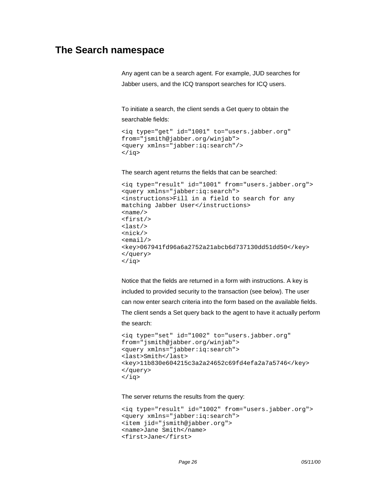## <span id="page-25-0"></span>**The Search namespace**

Any agent can be a search agent. For example, JUD searches for Jabber users, and the ICQ transport searches for ICQ users.

To initiate a search, the client sends a Get query to obtain the searchable fields:

```
<iq type="get" id="1001" to="users.jabber.org"
from="jsmith@jabber.org/winjab">
<query xmlns="jabber:iq:search"/>
\langleiq>
```
The search agent returns the fields that can be searched:

```
<iq type="result" id="1001" from="users.jabber.org">
<query xmlns="jabber:iq:search">
<instructions>Fill in a field to search for any
matching Jabber User</instructions>
<name/>
<first/>
<last/>
<nick/><email/>
<key>067941fd96a6a2752a21abcb6d737130dd51dd50</key>
</query>
\langleiq>
```
Notice that the fields are returned in a form with instructions. A key is included to provided security to the transaction (see below). The user can now enter search criteria into the form based on the available fields. The client sends a Set query back to the agent to have it actually perform the search:

```
<iq type="set" id="1002" to="users.jabber.org"
from="jsmith@jabber.org/winjab">
<query xmlns="jabber:iq:search">
<last>Smith</last>
<key>11b830e604215c3a2a24652c69fd4efa2a7a5746</key>
</query>
\langleiq>
```
The server returns the results from the query:

```
<iq type="result" id="1002" from="users.jabber.org">
<query xmlns="jabber:iq:search">
<item jid="jsmith@jabber.org">
<name>Jane Smith</name>
<first>Jane</first>
```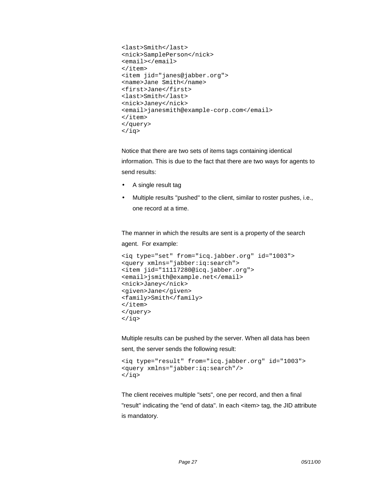```
<last>Smith</last>
<nick>SamplePerson</nick>
<email></email>
</item>
<item jid="janes@jabber.org">
<name>Jane Smith</name>
<first>Jane</first>
<last>Smith</last>
<nick>Janey</nick>
<email>janesmith@example-corp.com</email>
\langleitem\rangle</query>
\langleiq>
```
Notice that there are two sets of items tags containing identical information. This is due to the fact that there are two ways for agents to send results:

- A single result tag
- Multiple results "pushed" to the client, similar to roster pushes, i.e., one record at a time.

The manner in which the results are sent is a property of the search agent. For example:

```
<iq type="set" from="icq.jabber.org" id="1003">
<query xmlns="jabber:iq:search">
<item jid="11117280@icq.jabber.org">
<email>jsmith@example.net</email>
<nick>Janey</nick>
<given>Jane</given>
<family>Smith</family>
</item>
</query>
\langleiq>
```
Multiple results can be pushed by the server. When all data has been sent, the server sends the following result:

```
<iq type="result" from="icq.jabber.org" id="1003">
<query xmlns="jabber:iq:search"/>
\langleiq>
```
The client receives multiple "sets", one per record, and then a final "result" indicating the "end of data". In each <item> tag, the JID attribute is mandatory.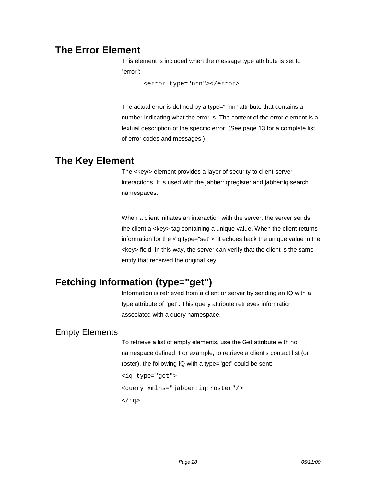## <span id="page-27-0"></span>**The Error Element**

This element is included when the message type attribute is set to "error":

<error type="nnn"></error>

The actual error is defined by a type="nnn" attribute that contains a number indicating what the error is. The content of the error element is a textual description of the specific error. (See page [13](#page-12-0) for a complete list of error codes and messages.)

## **The Key Element**

The <key/> element provides a layer of security to client-server interactions. It is used with the jabber:iq:register and jabber:iq:search namespaces.

When a client initiates an interaction with the server, the server sends the client a <key> tag containing a unique value. When the client returns information for the <iq type="set">, it echoes back the unique value in the <key> field. In this way, the server can verify that the client is the same entity that received the original key.

## **Fetching Information (type="get")**

Information is retrieved from a client or server by sending an IQ with a type attribute of "get". This query attribute retrieves information associated with a query namespace.

## Empty Elements

To retrieve a list of empty elements, use the Get attribute with no namespace defined. For example, to retrieve a client's contact list (or roster), the following IQ with a type="get" could be sent:

```
<iq type="get">
<query xmlns="jabber:iq:roster"/>
\langleiq>
```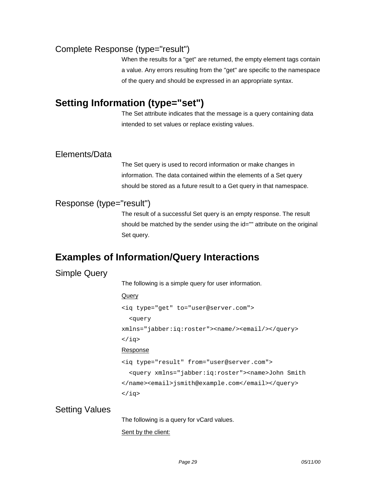### <span id="page-28-0"></span>Complete Response (type="result")

When the results for a "get" are returned, the empty element tags contain a value. Any errors resulting from the "get" are specific to the namespace of the query and should be expressed in an appropriate syntax.

## **Setting Information (type="set")**

The Set attribute indicates that the message is a query containing data intended to set values or replace existing values.

### Elements/Data

The Set query is used to record information or make changes in information. The data contained within the elements of a Set query should be stored as a future result to a Get query in that namespace.

### Response (type="result")

The result of a successful Set query is an empty response. The result should be matched by the sender using the id="" attribute on the original Set query.

## **Examples of Information/Query Interactions**

## Simple Query

The following is a simple query for user information.

#### **Query**

<iq type="get" to="user@server.com"> <query xmlns="jabber:iq:roster"><name/><email/></query>  $\langle$ iq> Response <iq type="result" from="user@server.com"> <query xmlns="jabber:iq:roster"><name>John Smith </name><email>jsmith@example.com</email></query>

 $\langle$ iq>

### Setting Values

The following is a query for vCard values.

#### Sent by the client: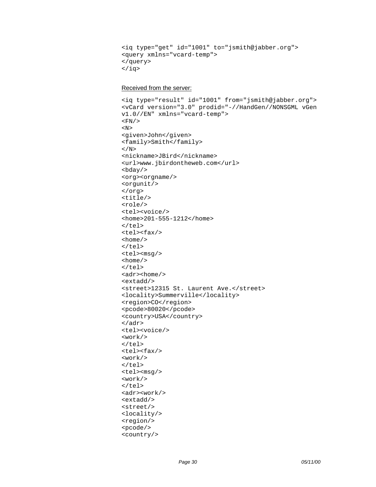```
<iq type="get" id="1001" to="jsmith@jabber.org">
<query xmlns="vcard-temp">
</query>
\langleiq>
```
#### Received from the server:

```
<iq type="result" id="1001" from="jsmith@jabber.org">
<vCard version="3.0" prodid="-//HandGen//NONSGML vGen
v1.0//EN" xmlns="vcard-temp">
<FN/ >
<\mathbb{N}><given>John</given>
<family>Smith</family>
\rm </N><nickname>JBird</nickname>
<url>www.jbirdontheweb.com</url>

<org><orgname/>
<orgunit/>
</org>
<title/>
<role/>
<tel><voice/>
<home>201-555-1212</home>
\langle/tel>
<tel><fax/>
<home/>
\langletel>
<tel><msg/>
<home/>
\langle/tel>
<adr><home/>
<extadd/>
<street>12315 St. Laurent Ave.</street>
<locality>Summerville</locality>
<region>CO</region>
<pcode>80020</pcode>
<country>USA</country>
</adr>
<tel><voice/>
<work/>
\langle/tel>
<tel><fax/>
<work/>
\langletel>
<tel><msg/>
<work/>
\langletel>
<adr><work/>
<extadd/>
<street/>
<locality/>
<region/>
<pcode/>
<country/>
```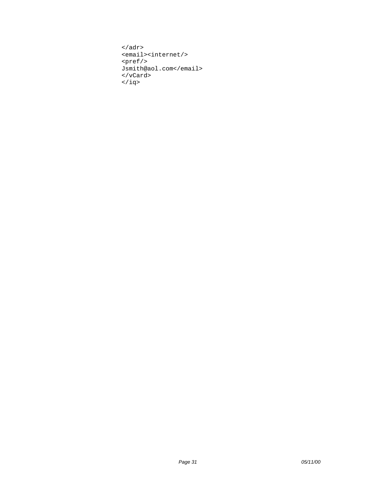```
\alpha / \alpha<email><internet/>
<pref/>
Jsmith@aol.com</email>
</vCard>
\langleiq>
```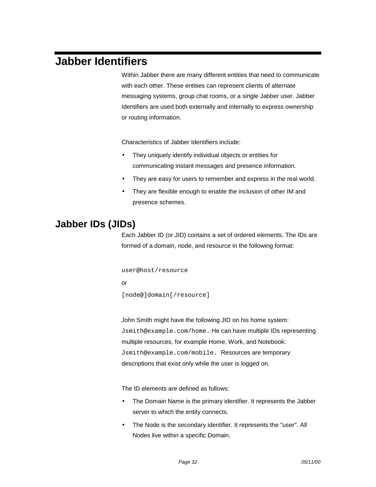# <span id="page-31-0"></span>**Jabber Identifiers**

Within Jabber there are many different entities that need to communicate with each other. These entities can represent clients of alternate messaging systems, group chat rooms, or a single Jabber user. Jabber Identifiers are used both externally and internally to express ownership or routing information.

Characteristics of Jabber Identifiers include:

- They uniquely identify individual objects or entities for communicating instant messages and presence information.
- They are easy for users to remember and express in the real world.
- They are flexible enough to enable the inclusion of other IM and presence schemes.

## **Jabber IDs (JIDs)**

Each Jabber ID (or JID) contains a set of ordered elements. The IDs are formed of a domain, node, and resource in the following format:

user@host/resource

or

[node@]domain[/resource]

John Smith might have the following JID on his home system: Jsmith@example.com/home. He can have multiple IDs representing multiple resources, for example Home, Work, and Notebook: Jsmith@example.com/mobile. Resources are temporary descriptions that exist only while the user is logged on.

The ID elements are defined as follows:

- The Domain Name is the primary identifier. It represents the Jabber server to which the entity connects.
- The Node is the secondary identifier. It represents the "user". All Nodes live within a specific Domain.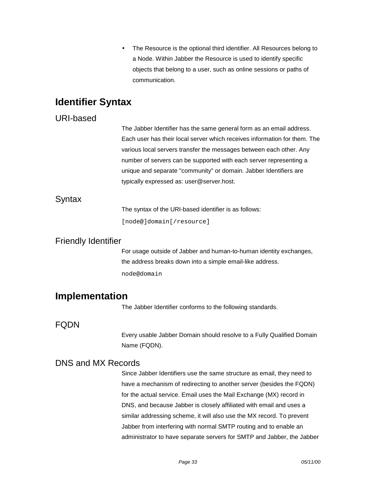• The Resource is the optional third identifier. All Resources belong to a Node. Within Jabber the Resource is used to identify specific objects that belong to a user, such as online sessions or paths of communication.

## <span id="page-32-0"></span>**Identifier Syntax**

### URI-based

The Jabber Identifier has the same general form as an email address. Each user has their local server which receives information for them. The various local servers transfer the messages between each other. Any number of servers can be supported with each server representing a unique and separate "community" or domain. Jabber Identifiers are typically expressed as: user@server.host.

### Syntax

The syntax of the URI-based identifier is as follows:

[node@]domain[/resource]

### Friendly Identifier

For usage outside of Jabber and human-to-human identity exchanges, the address breaks down into a simple email-like address. node@domain

## **Implementation**

The Jabber Identifier conforms to the following standards.

### FQDN

Every usable Jabber Domain should resolve to a Fully Qualified Domain Name (FQDN).

### DNS and MX Records

Since Jabber Identifiers use the same structure as email, they need to have a mechanism of redirecting to another server (besides the FQDN) for the actual service. Email uses the Mail Exchange (MX) record in DNS, and because Jabber is closely affiliated with email and uses a similar addressing scheme, it will also use the MX record. To prevent Jabber from interfering with normal SMTP routing and to enable an administrator to have separate servers for SMTP and Jabber, the Jabber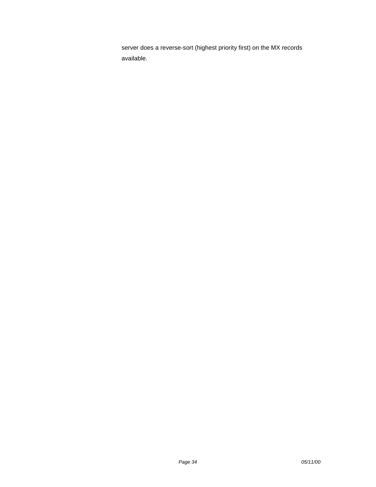server does a reverse-sort (highest priority first) on the MX records available.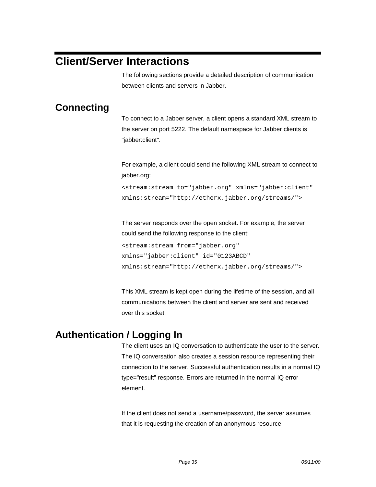# <span id="page-34-0"></span>**Client/Server Interactions**

The following sections provide a detailed description of communication between clients and servers in Jabber.

## **Connecting**

To connect to a Jabber server, a client opens a standard XML stream to the server on port 5222. The default namespace for Jabber clients is "jabber:client".

For example, a client could send the following XML stream to connect to jabber.org:

<stream:stream to="jabber.org" xmlns="jabber:client" xmlns:stream="http://etherx.jabber.org/streams/">

The server responds over the open socket. For example, the server could send the following response to the client:

```
<stream:stream from="jabber.org"
xmlns="jabber:client" id="0123ABCD"
xmlns:stream="http://etherx.jabber.org/streams/">
```
This XML stream is kept open during the lifetime of the session, and all communications between the client and server are sent and received over this socket.

## **Authentication / Logging In**

The client uses an IQ conversation to authenticate the user to the server. The IQ conversation also creates a session resource representing their connection to the server. Successful authentication results in a normal IQ type="result" response. Errors are returned in the normal IQ error element.

If the client does not send a username/password, the server assumes that it is requesting the creation of an anonymous resource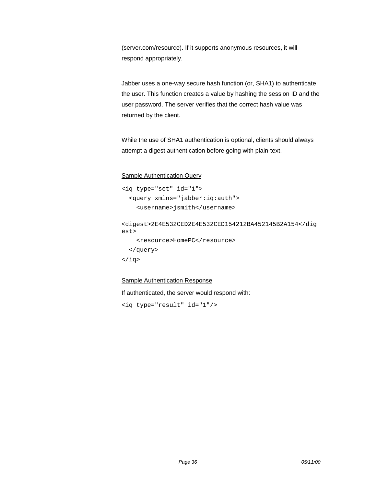(server.com/resource). If it supports anonymous resources, it will respond appropriately.

Jabber uses a one-way secure hash function (or, SHA1) to authenticate the user. This function creates a value by hashing the session ID and the user password. The server verifies that the correct hash value was returned by the client.

While the use of SHA1 authentication is optional, clients should always attempt a digest authentication before going with plain-text.

#### Sample Authentication Query

```
<iq type="set" id="1">
  <query xmlns="jabber:iq:auth">
    <username>jsmith</username>
<digest>2E4E532CED2E4E532CED154212BA452145B2A154</dig
est>
    <resource>HomePC</resource>
  </query>
\langleiq>
```
#### Sample Authentication Response

If authenticated, the server would respond with:

<iq type="result" id="1"/>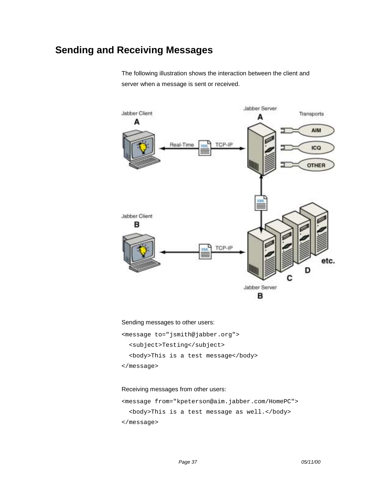## <span id="page-36-0"></span>**Sending and Receiving Messages**

The following illustration shows the interaction between the client and server when a message is sent or received.



Sending messages to other users:

<message to="jsmith@jabber.org">

<subject>Testing</subject>

<body>This is a test message</body>

</message>

#### Receiving messages from other users:

<message from="kpeterson@aim.jabber.com/HomePC"> <body>This is a test message as well.</body> </message>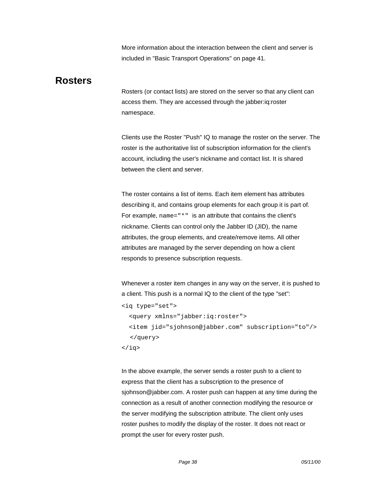More information about the interaction between the client and server is included in ["Basic Transport Operations"](#page-40-0) on page [41.](#page-40-0)

## <span id="page-37-0"></span>**Rosters**

Rosters (or contact lists) are stored on the server so that any client can access them. They are accessed through the jabber:iq:roster namespace.

Clients use the Roster "Push" IQ to manage the roster on the server. The roster is the authoritative list of subscription information for the client's account, including the user's nickname and contact list. It is shared between the client and server.

The roster contains a list of items. Each item element has attributes describing it, and contains group elements for each group it is part of. For example, name="\*" is an attribute that contains the client's nickname. Clients can control only the Jabber ID (JID), the name attributes, the group elements, and create/remove items. All other attributes are managed by the server depending on how a client responds to presence subscription requests.

Whenever a roster item changes in any way on the server, it is pushed to a client. This push is a normal IQ to the client of the type "set":

```
<iq type="set">
  <query xmlns="jabber:iq:roster">
  <item jid="sjohnson@jabber.com" subscription="to"/>
  </query>
\langleiq>
```
In the above example, the server sends a roster push to a client to express that the client has a subscription to the presence of sjohnson@jabber.com. A roster push can happen at any time during the connection as a result of another connection modifying the resource or the server modifying the subscription attribute. The client only uses roster pushes to modify the display of the roster. It does not react or prompt the user for every roster push.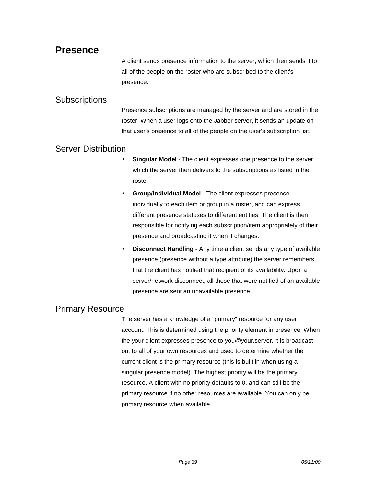## <span id="page-38-0"></span>**Presence**

A client sends presence information to the server, which then sends it to all of the people on the roster who are subscribed to the client's presence.

### **Subscriptions**

Presence subscriptions are managed by the server and are stored in the roster. When a user logs onto the Jabber server, it sends an update on that user's presence to all of the people on the user's subscription list.

### Server Distribution

- **Singular Model** The client expresses one presence to the server, which the server then delivers to the subscriptions as listed in the roster.
- **Group/Individual Model** The client expresses presence individually to each item or group in a roster, and can express different presence statuses to different entities. The client is then responsible for notifying each subscription/item appropriately of their presence and broadcasting it when it changes.
- **Disconnect Handling** Any time a client sends any type of available presence (presence without a type attribute) the server remembers that the client has notified that recipient of its availability. Upon a server/network disconnect, all those that were notified of an available presence are sent an unavailable presence.

### Primary Resource

The server has a knowledge of a "primary" resource for any user account. This is determined using the priority element in presence. When the your client expresses presence to you@your.server, it is broadcast out to all of your own resources and used to determine whether the current client is the primary resource (this is built in when using a singular presence model). The highest priority will be the primary resource. A client with no priority defaults to 0, and can still be the primary resource if no other resources are available. You can only be primary resource when available.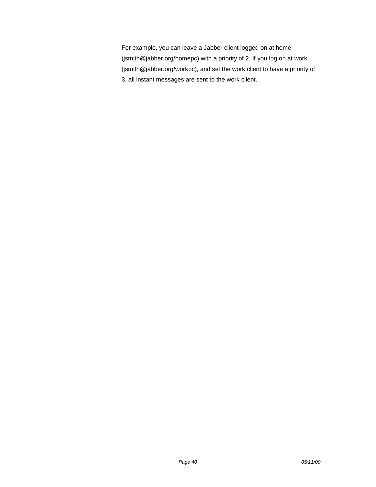For example, you can leave a Jabber client logged on at home (jsmith@jabber.org/homepc) with a priority of 2. If you log on at work (jsmith@jabber.org/workpc), and set the work client to have a priority of 3, all instant messages are sent to the work client.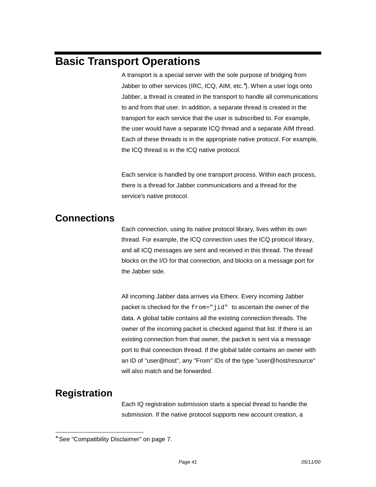# <span id="page-40-0"></span>**Basic Transport Operations**

A transport is a special server with the sole purpose of bridging from Jabber to other services (IRC, ICQ, AIM, etc.<sup>\*</sup>). When a user logs onto Jabber, a thread is created in the transport to handle all communications to and from that user. In addition, a separate thread is created in the transport for each service that the user is subscribed to. For example, the user would have a separate ICQ thread and a separate AIM thread. Each of these threads is in the appropriate native protocol. For example, the ICQ thread is in the ICQ native protocol.

Each service is handled by one transport process. Within each process, there is a thread for Jabber communications and a thread for the service's native protocol.

## **Connections**

Each connection, using its native protocol library, lives within its own thread. For example, the ICQ connection uses the ICQ protocol library, and all ICQ messages are sent and received in this thread. The thread blocks on the I/O for that connection, and blocks on a message port for the Jabber side.

All incoming Jabber data arrives via Etherx. Every incoming Jabber packet is checked for the from="jid" to ascertain the owner of the data. A global table contains all the existing connection threads. The owner of the incoming packet is checked against that list. If there is an existing connection from that owner, the packet is sent via a message port to that connection thread. If the global table contains an owner with an ID of "user@host", any "From" IDs of the type "user@host/resource" will also match and be forwarded.

## **Registration**

l

Each IQ registration submission starts a special thread to handle the submission. If the native protocol supports new account creation, a

<sup>∗</sup> See "Compatibility Disclaimer" on page 7.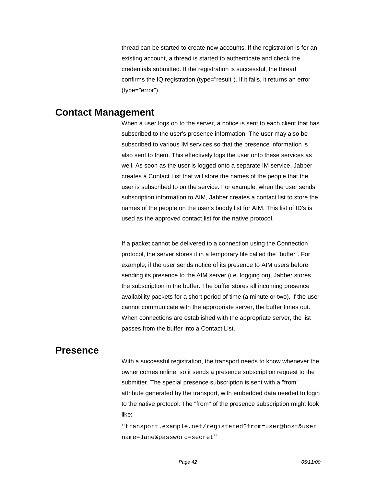thread can be started to create new accounts. If the registration is for an existing account, a thread is started to authenticate and check the credentials submitted. If the registration is successful, the thread confirms the IQ registration (type="result"). If it fails, it returns an error (type="error").

### <span id="page-41-0"></span>**Contact Management**

When a user logs on to the server, a notice is sent to each client that has subscribed to the user's presence information. The user may also be subscribed to various IM services so that the presence information is also sent to them. This effectively logs the user onto these services as well. As soon as the user is logged onto a separate IM service, Jabber creates a Contact List that will store the names of the people that the user is subscribed to on the service. For example, when the user sends subscription information to AIM, Jabber creates a contact list to store the names of the people on the user's buddy list for AIM. This list of ID's is used as the approved contact list for the native protocol.

If a packet cannot be delivered to a connection using the Connection protocol, the server stores it in a temporary file called the "buffer". For example, if the user sends notice of its presence to AIM users before sending its presence to the AIM server (i.e. logging on), Jabber stores the subscription in the buffer. The buffer stores all incoming presence availability packets for a short period of time (a minute or two). If the user cannot communicate with the appropriate server, the buffer times out. When connections are established with the appropriate server, the list passes from the buffer into a Contact List.

### **Presence**

With a successful registration, the transport needs to know whenever the owner comes online, so it sends a presence subscription request to the submitter. The special presence subscription is sent with a "from" attribute generated by the transport, with embedded data needed to login to the native protocol. The "from" of the presence subscription might look like:

"transport.example.net/registered?from=user@host&user name=Jane&password=secret"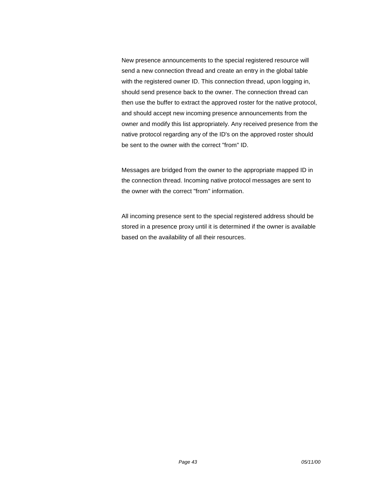New presence announcements to the special registered resource will send a new connection thread and create an entry in the global table with the registered owner ID. This connection thread, upon logging in, should send presence back to the owner. The connection thread can then use the buffer to extract the approved roster for the native protocol, and should accept new incoming presence announcements from the owner and modify this list appropriately. Any received presence from the native protocol regarding any of the ID's on the approved roster should be sent to the owner with the correct "from" ID.

Messages are bridged from the owner to the appropriate mapped ID in the connection thread. Incoming native protocol messages are sent to the owner with the correct "from" information.

All incoming presence sent to the special registered address should be stored in a presence proxy until it is determined if the owner is available based on the availability of all their resources.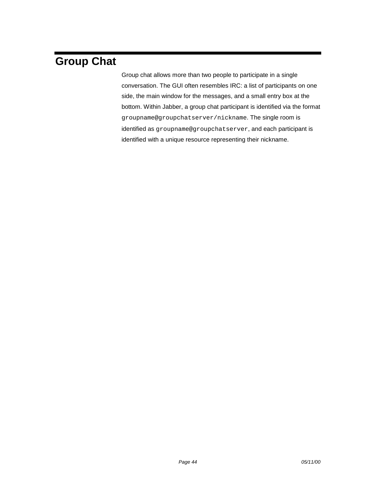# <span id="page-43-0"></span>**Group Chat**

Group chat allows more than two people to participate in a single conversation. The GUI often resembles IRC: a list of participants on one side, the main window for the messages, and a small entry box at the bottom. Within Jabber, a group chat participant is identified via the format groupname@groupchatserver/nickname. The single room is identified as groupname@groupchatserver, and each participant is identified with a unique resource representing their nickname.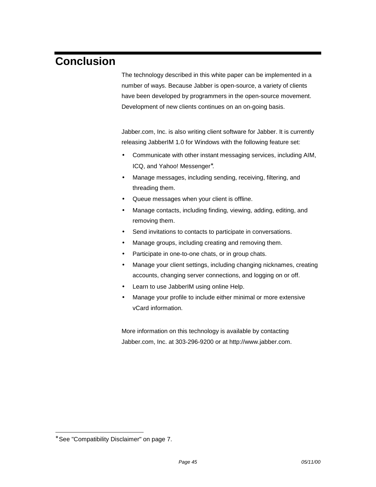# <span id="page-44-0"></span>**Conclusion**

The technology described in this white paper can be implemented in a number of ways. Because Jabber is open-source, a variety of clients have been developed by programmers in the open-source movement. Development of new clients continues on an on-going basis.

Jabber.com, Inc. is also writing client software for Jabber. It is currently releasing JabberIM 1.0 for Windows with the following feature set:

- Communicate with other instant messaging services, including AIM, ICQ, and Yahoo! Messenger<sup>\*</sup>.
- Manage messages, including sending, receiving, filtering, and threading them.
- Queue messages when your client is offline.
- Manage contacts, including finding, viewing, adding, editing, and removing them.
- Send invitations to contacts to participate in conversations.
- Manage groups, including creating and removing them.
- Participate in one-to-one chats, or in group chats.
- Manage your client settings, including changing nicknames, creating accounts, changing server connections, and logging on or off.
- Learn to use JabberIM using online Help.
- Manage your profile to include either minimal or more extensive vCard information.

More information on this technology is available by contacting Jabber.com, Inc. at 303-296-9200 or at http://www.jabber.com.

l

<sup>∗</sup> See "Compatibility Disclaimer" on page 7.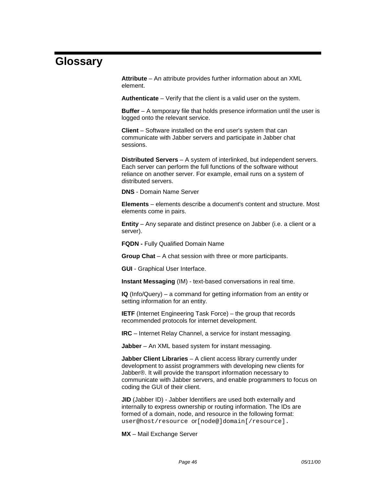# <span id="page-45-0"></span>**Glossary**

**Attribute** – An attribute provides further information about an XML element.

**Authenticate** – Verify that the client is a valid user on the system.

**Buffer** – A temporary file that holds presence information until the user is logged onto the relevant service.

**Client** – Software installed on the end user's system that can communicate with Jabber servers and participate in Jabber chat sessions.

**Distributed Servers** – A system of interlinked, but independent servers. Each server can perform the full functions of the software without reliance on another server. For example, email runs on a system of distributed servers.

**DNS** - Domain Name Server

**Elements** – elements describe a document's content and structure. Most elements come in pairs.

**Entity** – Any separate and distinct presence on Jabber (i.e. a client or a server).

**FQDN -** Fully Qualified Domain Name

**Group Chat** – A chat session with three or more participants.

**GUI** - Graphical User Interface.

**Instant Messaging** (IM) - text-based conversations in real time.

**IQ** (Info/Query) – a command for getting information from an entity or setting information for an entity.

**IETF** (Internet Engineering Task Force) – the group that records recommended protocols for internet development.

**IRC** – Internet Relay Channel, a service for instant messaging.

**Jabber** – An XML based system for instant messaging.

**Jabber Client Libraries** – A client access library currently under development to assist programmers with developing new clients for Jabber®. It will provide the transport information necessary to communicate with Jabber servers, and enable programmers to focus on coding the GUI of their client.

**JID** (Jabber ID) - Jabber Identifiers are used both externally and internally to express ownership or routing information. The IDs are formed of a domain, node, and resource in the following format: user@host/resource or[node@]domain[/resource].

**MX** – Mail Exchange Server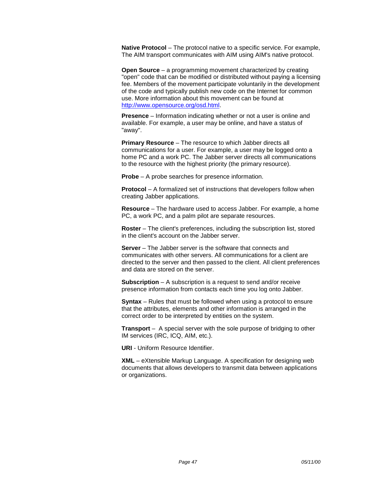**Native Protocol** – The protocol native to a specific service. For example, The AIM transport communicates with AIM using AIM's native protocol.

**Open Source** – a programming movement characterized by creating "open" code that can be modified or distributed without paying a licensing fee. Members of the movement participate voluntarily in the development of the code and typically publish new code on the Internet for common use. More information about this movement can be found at [http://www.opensource.org/osd.html.](http://www.opensource.org/osd.html)

**Presence** – Information indicating whether or not a user is online and available. For example, a user may be online, and have a status of "away".

**Primary Resource** – The resource to which Jabber directs all communications for a user. For example, a user may be logged onto a home PC and a work PC. The Jabber server directs all communications to the resource with the highest priority (the primary resource).

**Probe** – A probe searches for presence information.

**Protocol** – A formalized set of instructions that developers follow when creating Jabber applications.

**Resource** – The hardware used to access Jabber. For example, a home PC, a work PC, and a palm pilot are separate resources.

**Roster** – The client's preferences, including the subscription list, stored in the client's account on the Jabber server.

**Server** – The Jabber server is the software that connects and communicates with other servers. All communications for a client are directed to the server and then passed to the client. All client preferences and data are stored on the server.

**Subscription** – A subscription is a request to send and/or receive presence information from contacts each time you log onto Jabber.

**Syntax** – Rules that must be followed when using a protocol to ensure that the attributes, elements and other information is arranged in the correct order to be interpreted by entities on the system.

**Transport** – A special server with the sole purpose of bridging to other IM services (IRC, ICQ, AIM, etc.).

**URI** - Uniform Resource Identifier.

**XML** – eXtensible Markup Language. A specification for designing web documents that allows developers to transmit data between applications or organizations.